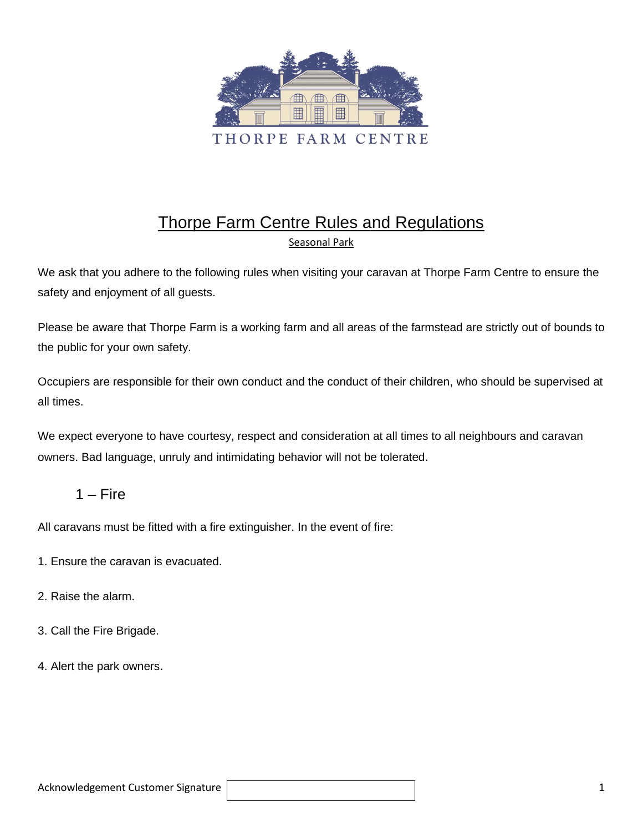

# Thorpe Farm Centre Rules and Regulations Seasonal Park

We ask that you adhere to the following rules when visiting your caravan at Thorpe Farm Centre to ensure the safety and enjoyment of all guests.

Please be aware that Thorpe Farm is a working farm and all areas of the farmstead are strictly out of bounds to the public for your own safety.

Occupiers are responsible for their own conduct and the conduct of their children, who should be supervised at all times.

We expect everyone to have courtesy, respect and consideration at all times to all neighbours and caravan owners. Bad language, unruly and intimidating behavior will not be tolerated.

### $1 -$ Fire

All caravans must be fitted with a fire extinguisher. In the event of fire:

- 1. Ensure the caravan is evacuated.
- 2. Raise the alarm.
- 3. Call the Fire Brigade.
- 4. Alert the park owners.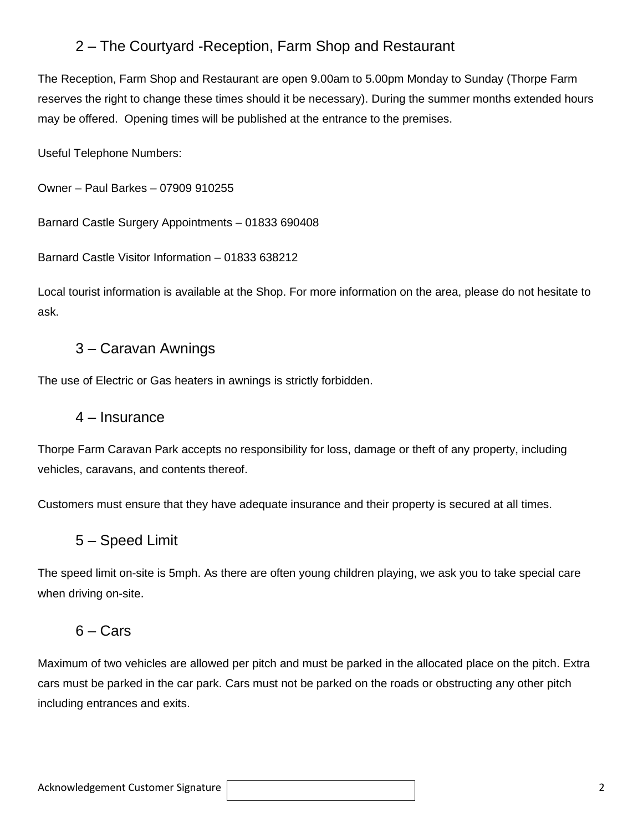## 2 – The Courtyard -Reception, Farm Shop and Restaurant

The Reception, Farm Shop and Restaurant are open 9.00am to 5.00pm Monday to Sunday (Thorpe Farm reserves the right to change these times should it be necessary). During the summer months extended hours may be offered. Opening times will be published at the entrance to the premises.

Useful Telephone Numbers:

Owner – Paul Barkes – 07909 910255

Barnard Castle Surgery Appointments – 01833 690408

Barnard Castle Visitor Information – 01833 638212

Local tourist information is available at the Shop. For more information on the area, please do not hesitate to ask.

## 3 – Caravan Awnings

The use of Electric or Gas heaters in awnings is strictly forbidden.

#### 4 – Insurance

Thorpe Farm Caravan Park accepts no responsibility for loss, damage or theft of any property, including vehicles, caravans, and contents thereof.

Customers must ensure that they have adequate insurance and their property is secured at all times.

### 5 – Speed Limit

The speed limit on-site is 5mph. As there are often young children playing, we ask you to take special care when driving on-site.

### $6 - \text{Cars}$

Maximum of two vehicles are allowed per pitch and must be parked in the allocated place on the pitch. Extra cars must be parked in the car park. Cars must not be parked on the roads or obstructing any other pitch including entrances and exits.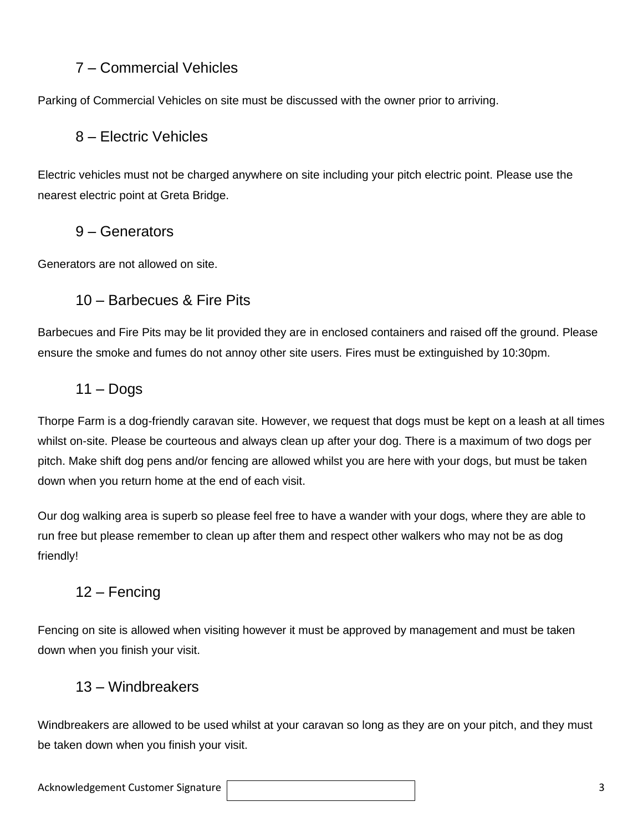## 7 – Commercial Vehicles

Parking of Commercial Vehicles on site must be discussed with the owner prior to arriving.

## 8 – Electric Vehicles

Electric vehicles must not be charged anywhere on site including your pitch electric point. Please use the nearest electric point at Greta Bridge.

### 9 – Generators

Generators are not allowed on site.

### 10 – Barbecues & Fire Pits

Barbecues and Fire Pits may be lit provided they are in enclosed containers and raised off the ground. Please ensure the smoke and fumes do not annoy other site users. Fires must be extinguished by 10:30pm.

## $11 -$ Dogs

Thorpe Farm is a dog-friendly caravan site. However, we request that dogs must be kept on a leash at all times whilst on-site. Please be courteous and always clean up after your dog. There is a maximum of two dogs per pitch. Make shift dog pens and/or fencing are allowed whilst you are here with your dogs, but must be taken down when you return home at the end of each visit.

Our dog walking area is superb so please feel free to have a wander with your dogs, where they are able to run free but please remember to clean up after them and respect other walkers who may not be as dog friendly!

## 12 – Fencing

Fencing on site is allowed when visiting however it must be approved by management and must be taken down when you finish your visit.

### 13 – Windbreakers

Windbreakers are allowed to be used whilst at your caravan so long as they are on your pitch, and they must be taken down when you finish your visit.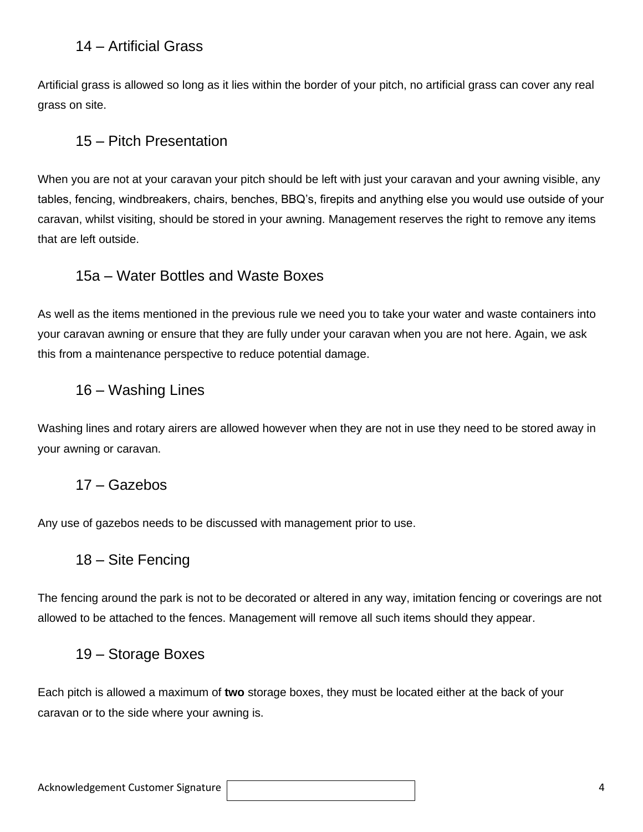### 14 – Artificial Grass

Artificial grass is allowed so long as it lies within the border of your pitch, no artificial grass can cover any real grass on site.

### 15 – Pitch Presentation

When you are not at your caravan your pitch should be left with just your caravan and your awning visible, any tables, fencing, windbreakers, chairs, benches, BBQ's, firepits and anything else you would use outside of your caravan, whilst visiting, should be stored in your awning. Management reserves the right to remove any items that are left outside.

### 15a – Water Bottles and Waste Boxes

As well as the items mentioned in the previous rule we need you to take your water and waste containers into your caravan awning or ensure that they are fully under your caravan when you are not here. Again, we ask this from a maintenance perspective to reduce potential damage.

### 16 – Washing Lines

Washing lines and rotary airers are allowed however when they are not in use they need to be stored away in your awning or caravan.

#### 17 – Gazebos

Any use of gazebos needs to be discussed with management prior to use.

#### 18 – Site Fencing

The fencing around the park is not to be decorated or altered in any way, imitation fencing or coverings are not allowed to be attached to the fences. Management will remove all such items should they appear.

### 19 – Storage Boxes

Each pitch is allowed a maximum of **two** storage boxes, they must be located either at the back of your caravan or to the side where your awning is.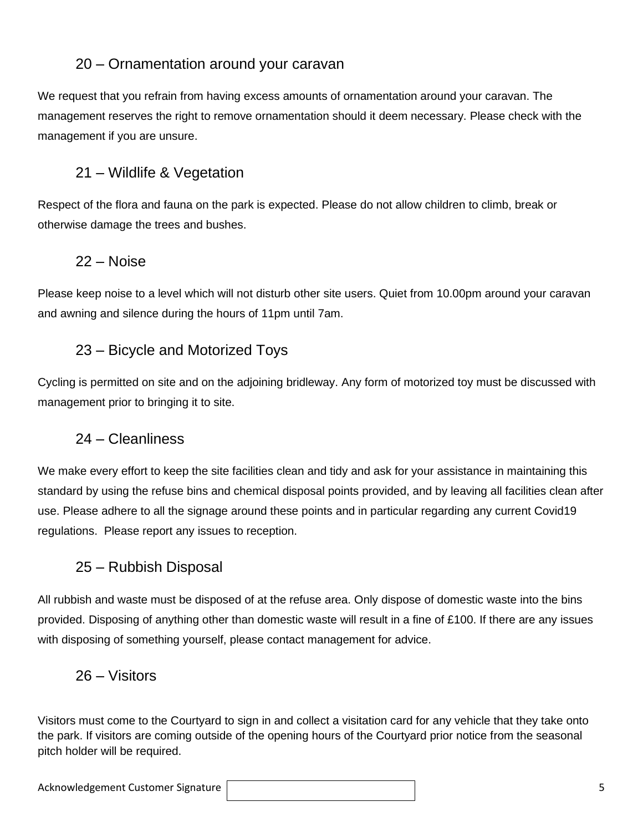## 20 – Ornamentation around your caravan

We request that you refrain from having excess amounts of ornamentation around your caravan. The management reserves the right to remove ornamentation should it deem necessary. Please check with the management if you are unsure.

# 21 – Wildlife & Vegetation

Respect of the flora and fauna on the park is expected. Please do not allow children to climb, break or otherwise damage the trees and bushes.

### 22 – Noise

Please keep noise to a level which will not disturb other site users. Quiet from 10.00pm around your caravan and awning and silence during the hours of 11pm until 7am.

## 23 – Bicycle and Motorized Toys

Cycling is permitted on site and on the adjoining bridleway. Any form of motorized toy must be discussed with management prior to bringing it to site.

## 24 – Cleanliness

We make every effort to keep the site facilities clean and tidy and ask for your assistance in maintaining this standard by using the refuse bins and chemical disposal points provided, and by leaving all facilities clean after use. Please adhere to all the signage around these points and in particular regarding any current Covid19 regulations. Please report any issues to reception.

## 25 – Rubbish Disposal

All rubbish and waste must be disposed of at the refuse area. Only dispose of domestic waste into the bins provided. Disposing of anything other than domestic waste will result in a fine of £100. If there are any issues with disposing of something yourself, please contact management for advice.

### 26 – Visitors

Visitors must come to the Courtyard to sign in and collect a visitation card for any vehicle that they take onto the park. If visitors are coming outside of the opening hours of the Courtyard prior notice from the seasonal pitch holder will be required.

Acknowledgement Customer Signature | Samuel Controller School School School School School School School School S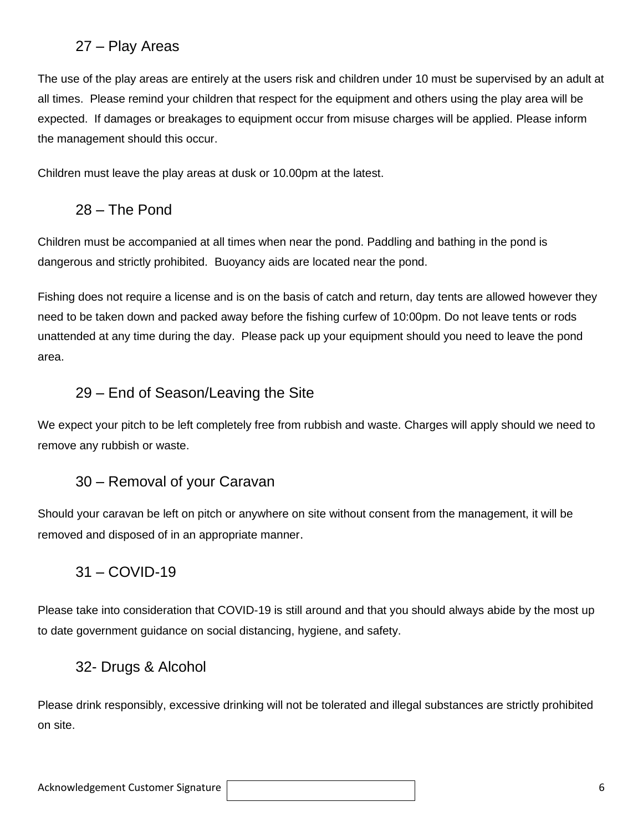## 27 – Play Areas

The use of the play areas are entirely at the users risk and children under 10 must be supervised by an adult at all times. Please remind your children that respect for the equipment and others using the play area will be expected. If damages or breakages to equipment occur from misuse charges will be applied. Please inform the management should this occur.

Children must leave the play areas at dusk or 10.00pm at the latest.

## 28 – The Pond

Children must be accompanied at all times when near the pond. Paddling and bathing in the pond is dangerous and strictly prohibited. Buoyancy aids are located near the pond.

Fishing does not require a license and is on the basis of catch and return, day tents are allowed however they need to be taken down and packed away before the fishing curfew of 10:00pm. Do not leave tents or rods unattended at any time during the day. Please pack up your equipment should you need to leave the pond area.

## 29 – End of Season/Leaving the Site

We expect your pitch to be left completely free from rubbish and waste. Charges will apply should we need to remove any rubbish or waste.

## 30 – Removal of your Caravan

Should your caravan be left on pitch or anywhere on site without consent from the management, it will be removed and disposed of in an appropriate manner.

## 31 – COVID-19

Please take into consideration that COVID-19 is still around and that you should always abide by the most up to date government guidance on social distancing, hygiene, and safety.

### 32- Drugs & Alcohol

Please drink responsibly, excessive drinking will not be tolerated and illegal substances are strictly prohibited on site.